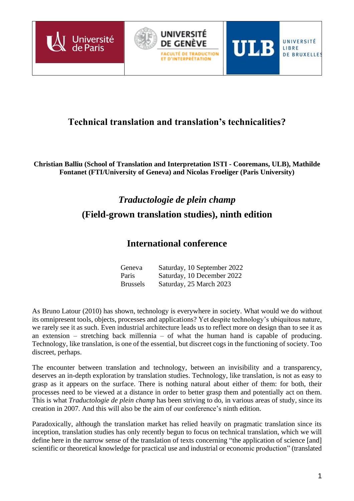

## **Technical translation and translation's technicalities?**

**Christian Balliu (School of Translation and Interpretation ISTI - Cooremans, ULB), Mathilde Fontanet (FTI/University of Geneva) and Nicolas Froeliger (Paris University)**

# *Traductologie de plein champ* **(Field-grown translation studies), ninth edition**

### **International conference**

| Geneva          | Saturday, 10 September 2022 |
|-----------------|-----------------------------|
| Paris           | Saturday, 10 December 2022  |
| <b>Brussels</b> | Saturday, 25 March 2023     |

As Bruno Latour (2010) has shown, technology is everywhere in society. What would we do without its omnipresent tools, objects, processes and applications? Yet despite technology's ubiquitous nature, we rarely see it as such. Even industrial architecture leads us to reflect more on design than to see it as an extension – stretching back millennia – of what the human hand is capable of producing. Technology, like translation, is one of the essential, but discreet cogs in the functioning of society. Too discreet, perhaps.

The encounter between translation and technology, between an invisibility and a transparency, deserves an in-depth exploration by translation studies. Technology, like translation, is not as easy to grasp as it appears on the surface. There is nothing natural about either of them: for both, their processes need to be viewed at a distance in order to better grasp them and potentially act on them. This is what *Traductologie de plein champ* has been striving to do, in various areas of study, since its creation in 2007. And this will also be the aim of our conference's ninth edition.

Paradoxically, although the translation market has relied heavily on pragmatic translation since its inception, translation studies has only recently begun to focus on technical translation, which we will define here in the narrow sense of the translation of texts concerning "the application of science [and] scientific or theoretical knowledge for practical use and industrial or economic production" (translated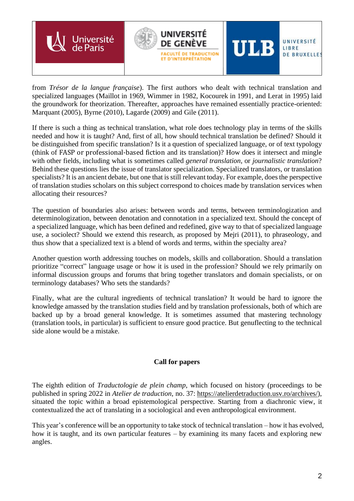

from *Trésor de la langue française*). The first authors who dealt with technical translation and specialized languages (Maillot in 1969, Wimmer in 1982, Kocourek in 1991, and Lerat in 1995) laid the groundwork for theorization. Thereafter, approaches have remained essentially practice-oriented: Marquant (2005), Byrne (2010), Lagarde (2009) and Gile (2011).

If there is such a thing as technical translation, what role does technology play in terms of the skills needed and how it is taught? And, first of all, how should technical translation be defined? Should it be distinguished from specific translation? Is it a question of specialized language, or of text typology (think of FASP or professional-based fiction and its translation)? How does it intersect and mingle with other fields, including what is sometimes called *general translation*, or *journalistic translation*? Behind these questions lies the issue of translator specialization. Specialized translators, or translation specialists? It is an ancient debate, but one that is still relevant today. For example, does the perspective of translation studies scholars on this subject correspond to choices made by translation services when allocating their resources?

The question of boundaries also arises: between words and terms, between terminologization and determinologization, between denotation and connotation in a specialized text. Should the concept of a specialized language, which has been defined and redefined, give way to that of specialized language use, a sociolect? Should we extend this research, as proposed by Mejri (2011), to phraseology, and thus show that a specialized text is a blend of words and terms, within the specialty area?

Another question worth addressing touches on models, skills and collaboration. Should a translation prioritize "correct" language usage or how it is used in the profession? Should we rely primarily on informal discussion groups and forums that bring together translators and domain specialists, or on terminology databases? Who sets the standards?

Finally, what are the cultural ingredients of technical translation? It would be hard to ignore the knowledge amassed by the translation studies field and by translation professionals, both of which are backed up by a broad general knowledge. It is sometimes assumed that mastering technology (translation tools, in particular) is sufficient to ensure good practice. But genuflecting to the technical side alone would be a mistake.

### **Call for papers**

The eighth edition of *Traductologie de plein champ*, which focused on history (proceedings to be published in spring 2022 in *Atelier de traduction*, no. 37: [https://atelierdetraduction.usv.ro/archives/\)](https://atelierdetraduction.usv.ro/archives/), situated the topic within a broad epistemological perspective. Starting from a diachronic view, it contextualized the act of translating in a sociological and even anthropological environment.

This year's conference will be an opportunity to take stock of technical translation – how it has evolved, how it is taught, and its own particular features – by examining its many facets and exploring new angles.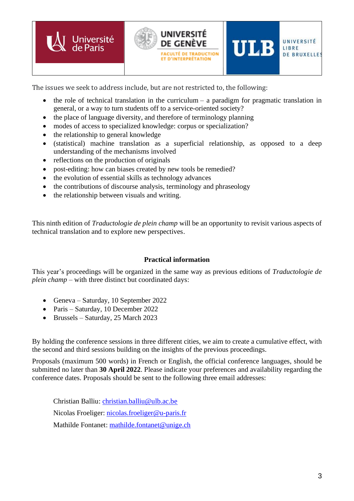

The issues we seek to address include, but are not restricted to, the following:

- the role of technical translation in the curriculum a paradigm for pragmatic translation in general, or a way to turn students off to a service-oriented society?
- the place of language diversity, and therefore of terminology planning
- modes of access to specialized knowledge: corpus or specialization?
- the relationship to general knowledge
- (statistical) machine translation as a superficial relationship, as opposed to a deep understanding of the mechanisms involved
- reflections on the production of originals
- post-editing: how can biases created by new tools be remedied?
- the evolution of essential skills as technology advances
- the contributions of discourse analysis, terminology and phraseology
- the relationship between visuals and writing.

This ninth edition of *Traductologie de plein champ* will be an opportunity to revisit various aspects of technical translation and to explore new perspectives.

#### **Practical information**

This year's proceedings will be organized in the same way as previous editions of *Traductologie de plein champ* – with three distinct but coordinated days:

- Geneva Saturday, 10 September 2022
- Paris Saturday, 10 December 2022
- Brussels Saturday, 25 March 2023

By holding the conference sessions in three different cities, we aim to create a cumulative effect, with the second and third sessions building on the insights of the previous proceedings.

Proposals (maximum 500 words) in French or English, the official conference languages, should be submitted no later than **30 April 2022**. Please indicate your preferences and availability regarding the conference dates. Proposals should be sent to the following three email addresses:

Christian Balliu: [christian.balliu@ulb.ac.be](mailto:christian.balliu@ulb.ac.be) Nicolas Froeliger: [nicolas.froeliger@u-paris.fr](mailto:nicolas.froeliger@u-paris.fr) Mathilde Fontanet: [mathilde.fontanet@unige.ch](mailto:mathilde.fontanet@unige.ch)